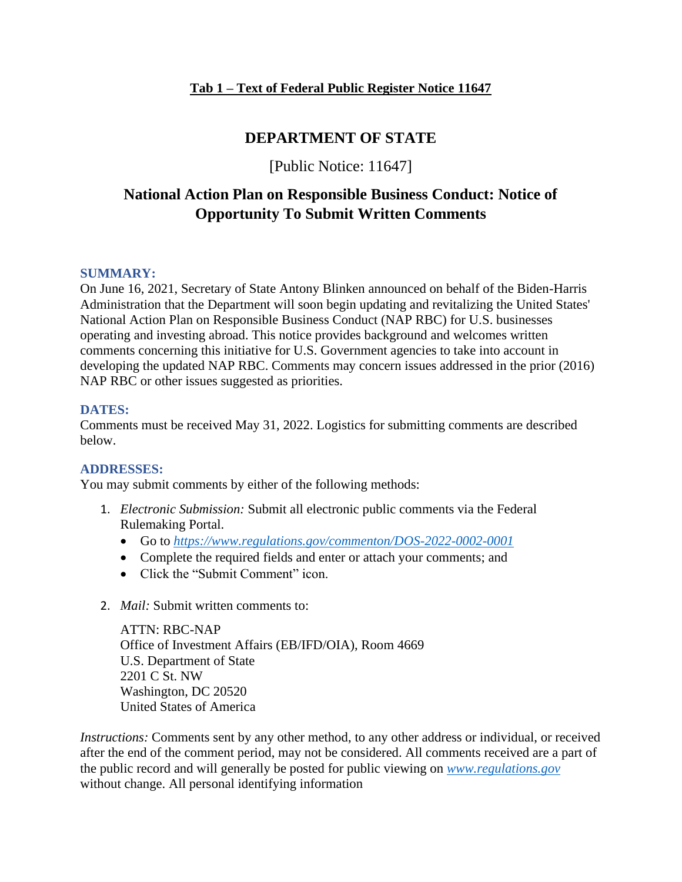## **DEPARTMENT OF STATE**

[Public Notice: 11647]

# **National Action Plan on Responsible Business Conduct: Notice of Opportunity To Submit Written Comments**

#### **SUMMARY:**

On June 16, 2021, Secretary of State Antony Blinken announced on behalf of the Biden-Harris Administration that the Department will soon begin updating and revitalizing the United States' National Action Plan on Responsible Business Conduct (NAP RBC) for U.S. businesses operating and investing abroad. This notice provides background and welcomes written comments concerning this initiative for U.S. Government agencies to take into account in developing the updated NAP RBC. Comments may concern issues addressed in the prior (2016) NAP RBC or other issues suggested as priorities.

#### **DATES:**

Comments must be received May 31, 2022. Logistics for submitting comments are described below.

#### **ADDRESSES:**

You may submit comments by either of the following methods:

- 1. *Electronic Submission:* Submit all electronic public comments via the Federal Rulemaking Portal.
	- Go to *<https://www.regulations.gov/commenton/DOS-2022-0002-0001>*
	- Complete the required fields and enter or attach your comments; and
	- Click the "Submit Comment" icon.
- 2. *Mail:* Submit written comments to:

ATTN: RBC-NAP Office of Investment Affairs (EB/IFD/OIA), Room 4669 U.S. Department of State 2201 C St. NW Washington, DC 20520 United States of America

*Instructions:* Comments sent by any other method, to any other address or individual, or received after the end of the comment period, may not be considered. All comments received are a part of the public record and will generally be posted for public viewing on *[www.regulations.gov](http://www.regulations.gov/)* without change. All personal identifying information